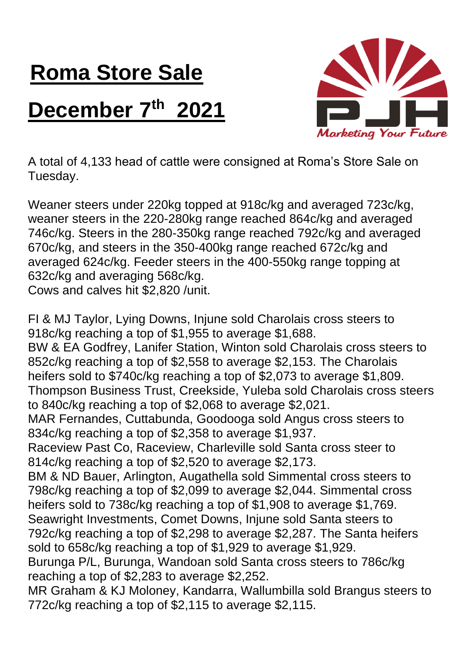## **Roma Store Sale**

## **December 7th 2021**



A total of 4,133 head of cattle were consigned at Roma's Store Sale on Tuesday.

Weaner steers under 220kg topped at 918c/kg and averaged 723c/kg, weaner steers in the 220-280kg range reached 864c/kg and averaged 746c/kg. Steers in the 280-350kg range reached 792c/kg and averaged 670c/kg, and steers in the 350-400kg range reached 672c/kg and averaged 624c/kg. Feeder steers in the 400-550kg range topping at 632c/kg and averaging 568c/kg.

Cows and calves hit \$2,820 /unit.

FI & MJ Taylor, Lying Downs, Injune sold Charolais cross steers to 918c/kg reaching a top of \$1,955 to average \$1,688. BW & EA Godfrey, Lanifer Station, Winton sold Charolais cross steers to 852c/kg reaching a top of \$2,558 to average \$2,153. The Charolais heifers sold to \$740c/kg reaching a top of \$2,073 to average \$1,809. Thompson Business Trust, Creekside, Yuleba sold Charolais cross steers to 840c/kg reaching a top of \$2,068 to average \$2,021. MAR Fernandes, Cuttabunda, Goodooga sold Angus cross steers to 834c/kg reaching a top of \$2,358 to average \$1,937. Raceview Past Co, Raceview, Charleville sold Santa cross steer to 814c/kg reaching a top of \$2,520 to average \$2,173. BM & ND Bauer, Arlington, Augathella sold Simmental cross steers to 798c/kg reaching a top of \$2,099 to average \$2,044. Simmental cross heifers sold to 738c/kg reaching a top of \$1,908 to average \$1,769. Seawright Investments, Comet Downs, Injune sold Santa steers to 792c/kg reaching a top of \$2,298 to average \$2,287. The Santa heifers sold to 658c/kg reaching a top of \$1,929 to average \$1,929. Burunga P/L, Burunga, Wandoan sold Santa cross steers to 786c/kg reaching a top of \$2,283 to average \$2,252. MR Graham & KJ Moloney, Kandarra, Wallumbilla sold Brangus steers to 772c/kg reaching a top of \$2,115 to average \$2,115.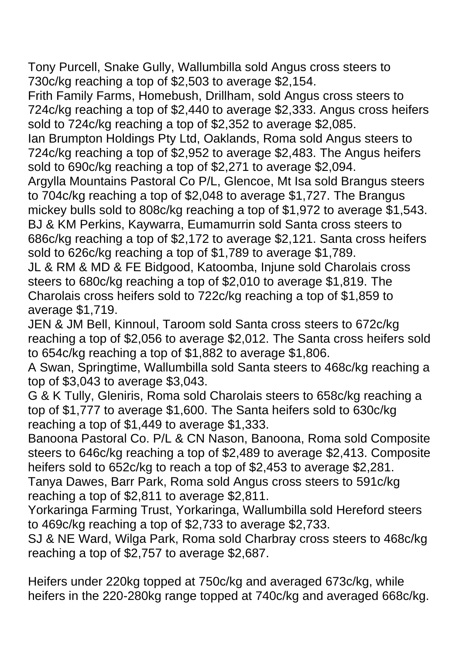Tony Purcell, Snake Gully, Wallumbilla sold Angus cross steers to 730c/kg reaching a top of \$2,503 to average \$2,154.

Frith Family Farms, Homebush, Drillham, sold Angus cross steers to 724c/kg reaching a top of \$2,440 to average \$2,333. Angus cross heifers sold to 724c/kg reaching a top of \$2,352 to average \$2,085.

Ian Brumpton Holdings Pty Ltd, Oaklands, Roma sold Angus steers to 724c/kg reaching a top of \$2,952 to average \$2,483. The Angus heifers sold to 690c/kg reaching a top of \$2,271 to average \$2,094.

Argylla Mountains Pastoral Co P/L, Glencoe, Mt Isa sold Brangus steers to 704c/kg reaching a top of \$2,048 to average \$1,727. The Brangus mickey bulls sold to 808c/kg reaching a top of \$1,972 to average \$1,543. BJ & KM Perkins, Kaywarra, Eumamurrin sold Santa cross steers to 686c/kg reaching a top of \$2,172 to average \$2,121. Santa cross heifers sold to 626c/kg reaching a top of \$1,789 to average \$1,789.

JL & RM & MD & FE Bidgood, Katoomba, Injune sold Charolais cross steers to 680c/kg reaching a top of \$2,010 to average \$1,819. The Charolais cross heifers sold to 722c/kg reaching a top of \$1,859 to average \$1,719.

JEN & JM Bell, Kinnoul, Taroom sold Santa cross steers to 672c/kg reaching a top of \$2,056 to average \$2,012. The Santa cross heifers sold to 654c/kg reaching a top of \$1,882 to average \$1,806.

A Swan, Springtime, Wallumbilla sold Santa steers to 468c/kg reaching a top of \$3,043 to average \$3,043.

G & K Tully, Gleniris, Roma sold Charolais steers to 658c/kg reaching a top of \$1,777 to average \$1,600. The Santa heifers sold to 630c/kg reaching a top of \$1,449 to average \$1,333.

Banoona Pastoral Co. P/L & CN Nason, Banoona, Roma sold Composite steers to 646c/kg reaching a top of \$2,489 to average \$2,413. Composite heifers sold to 652c/kg to reach a top of \$2,453 to average \$2,281. Tanya Dawes, Barr Park, Roma sold Angus cross steers to 591c/kg reaching a top of \$2,811 to average \$2,811.

Yorkaringa Farming Trust, Yorkaringa, Wallumbilla sold Hereford steers to 469c/kg reaching a top of \$2,733 to average \$2,733.

SJ & NE Ward, Wilga Park, Roma sold Charbray cross steers to 468c/kg reaching a top of \$2,757 to average \$2,687.

Heifers under 220kg topped at 750c/kg and averaged 673c/kg, while heifers in the 220-280kg range topped at 740c/kg and averaged 668c/kg.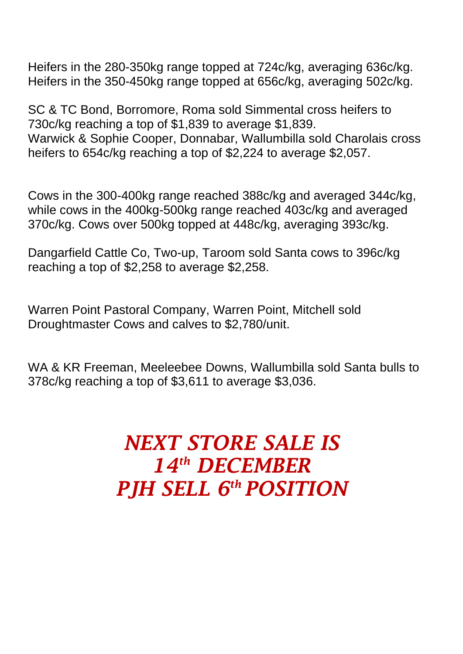SC & TC Bond, Borromore, Roma sold Simmental cross heifers to 730c/kg reaching a top of \$1,839 to average \$1,839. Warwick & Sophie Cooper, Donnabar, Wallumbilla sold Charolais cross heifers to 654c/kg reaching a top of \$2,224 to average \$2,057.

Cows in the 300-400kg range reached 388c/kg and averaged 344c/kg, while cows in the 400kg-500kg range reached 403c/kg and averaged 370c/kg. Cows over 500kg topped at 448c/kg, averaging 393c/kg.

Dangarfield Cattle Co, Two-up, Taroom sold Santa cows to 396c/kg reaching a top of \$2,258 to average \$2,258.

Warren Point Pastoral Company, Warren Point, Mitchell sold Droughtmaster Cows and calves to \$2,780/unit.

WA & KR Freeman, Meeleebee Downs, Wallumbilla sold Santa bulls to 378c/kg reaching a top of \$3,611 to average \$3,036.

## *NEXT STORE SALE IS 14th DECEMBER PJH SELL 6 th POSITION*